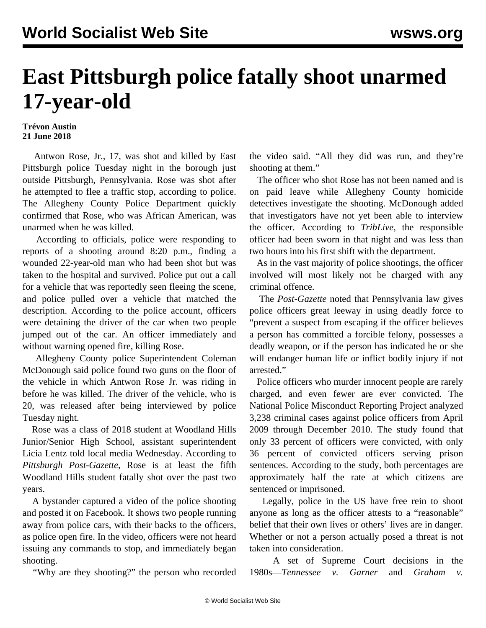## **East Pittsburgh police fatally shoot unarmed 17-year-old**

## **Trévon Austin 21 June 2018**

 Antwon Rose, Jr., 17, was shot and killed by East Pittsburgh police Tuesday night in the borough just outside Pittsburgh, Pennsylvania. Rose was shot after he attempted to flee a traffic stop, according to police. The Allegheny County Police Department quickly confirmed that Rose, who was African American, was unarmed when he was killed.

 According to officials, police were responding to reports of a shooting around 8:20 p.m., finding a wounded 22-year-old man who had been shot but was taken to the hospital and survived. Police put out a call for a vehicle that was reportedly seen fleeing the scene, and police pulled over a vehicle that matched the description. According to the police account, officers were detaining the driver of the car when two people jumped out of the car. An officer immediately and without warning opened fire, killing Rose.

 Allegheny County police Superintendent Coleman McDonough said police found two guns on the floor of the vehicle in which Antwon Rose Jr. was riding in before he was killed. The driver of the vehicle, who is 20, was released after being interviewed by police Tuesday night.

 Rose was a class of 2018 student at Woodland Hills Junior/Senior High School, assistant superintendent Licia Lentz told local media Wednesday. According to *Pittsburgh Post-Gazette*, Rose is at least the fifth Woodland Hills student fatally shot over the past two years.

 A bystander captured a [video](https://www.facebook.com/shauny.prettytriqqa/videos/2135530893142291/) of the police shooting and posted it on Facebook. It shows two people running away from police cars, with their backs to the officers, as police open fire. In the video, officers were not heard issuing any commands to stop, and immediately began shooting.

"Why are they shooting?" the person who recorded

the video said. "All they did was run, and they're shooting at them."

 The officer who shot Rose has not been named and is on paid leave while Allegheny County homicide detectives investigate the shooting. McDonough added that investigators have not yet been able to interview the officer. According to *TribLive*, the responsible officer had been sworn in that night and was less than two hours into his first shift with the department.

 As in the vast majority of police shootings, the officer involved will most likely not be charged with any criminal offence.

 The *Post-Gazette* noted that Pennsylvania law gives police officers great leeway in using deadly force to "prevent a suspect from escaping if the officer believes a person has committed a forcible felony, possesses a deadly weapon, or if the person has indicated he or she will endanger human life or inflict bodily injury if not arrested."

 Police officers who murder innocent people are rarely charged, and even fewer are ever convicted. The National Police Misconduct Reporting Project analyzed 3,238 criminal cases against police officers from April 2009 through December 2010. The study found that only 33 percent of officers were convicted, with only 36 percent of convicted officers serving prison sentences. According to the study, both percentages are approximately half the rate at which citizens are sentenced or imprisoned.

 Legally, police in the US have free rein to shoot anyone as long as the officer attests to a "reasonable" belief that their own lives or others' lives are in danger. Whether or not a person actually posed a threat is not taken into consideration.

 A set of Supreme Court decisions in the 1980s—*Tennessee v. Garner* and *Graham v.*